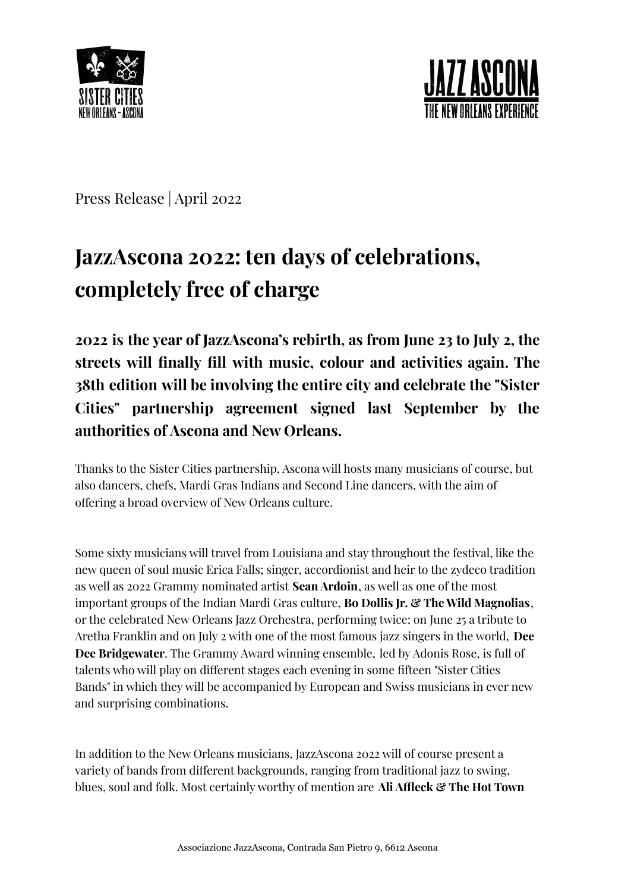



Press Release | April 2022

## **JazzAscona 2022: ten days of celebrations, completely free of charge**

**2022 is the year of JazzAscona's rebirth, as from June 23 to July 2, the streets will finally fill with music, colour and activities again. The 38th edition will be involving the entire city and celebrate the "Sister Cities" partnership agreement signed last September by the authorities of Ascona and New Orleans.**

Thanks to the Sister Cities partnership, Ascona will hosts many musicians of course, but also dancers, chefs, Mardi Gras Indians and Second Line dancers, with the aim of offering a broad overview of New Orleans culture.

Some sixty musicians will travel from Louisiana and stay throughout the festival, like the new queen of soul music Erica Falls; singer, accordionist and heir to the zydeco tradition as well as 2022 Grammy nominated artist **Sean Ardoin**, as well as one of the most important groups of the Indian Mardi Gras culture, **Bo Dollis Jr. & The Wild Magnolias**, or the celebrated New Orleans Jazz Orchestra, performing twice: on June 25 a tribute to Aretha Franklin and on July 2 with one of the most famous jazz singers in the world, **Dee Dee Bridgewater**. The Grammy Award winning ensemble, led by Adonis Rose, is full of talents who will play on different stages each evening in some fifteen "Sister Cities Bands" in which they will be accompanied by European and Swiss musicians in ever new and surprising combinations.

In addition to the New Orleans musicians, JazzAscona 2022 will of course present a variety of bands from different backgrounds, ranging from traditional jazz to swing, blues, soul and folk. Most certainly worthy of mention are **Ali Affleck & The Hot Town**